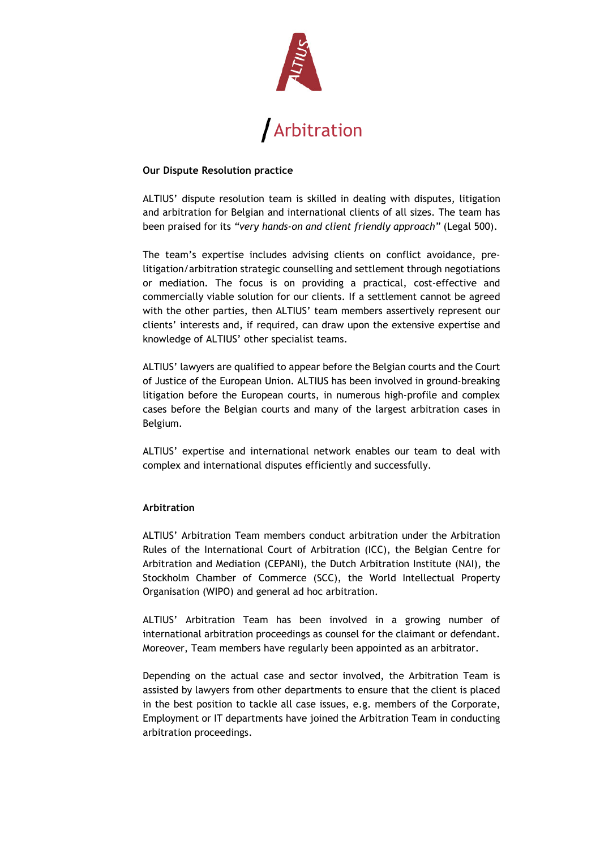

## **Our Dispute Resolution practice**

ALTIUS' dispute resolution team is skilled in dealing with disputes, litigation and arbitration for Belgian and international clients of all sizes. The team has been praised for its *"very hands-on and client friendly approach"* (Legal 500).

The team's expertise includes advising clients on conflict avoidance, prelitigation/arbitration strategic counselling and settlement through negotiations or mediation. The focus is on providing a practical, cost-effective and commercially viable solution for our clients. If a settlement cannot be agreed with the other parties, then ALTIUS' team members assertively represent our clients' interests and, if required, can draw upon the extensive expertise and knowledge of ALTIUS' other specialist teams.

ALTIUS' lawyers are qualified to appear before the Belgian courts and the Court of Justice of the European Union. ALTIUS has been involved in ground-breaking litigation before the European courts, in numerous high-profile and complex cases before the Belgian courts and many of the largest arbitration cases in Belgium.

ALTIUS' expertise and international network enables our team to deal with complex and international disputes efficiently and successfully.

## **Arbitration**

ALTIUS' Arbitration Team members conduct arbitration under the Arbitration Rules of the International Court of Arbitration (ICC), the Belgian Centre for Arbitration and Mediation (CEPANI), the Dutch Arbitration Institute (NAI), the Stockholm Chamber of Commerce (SCC), the World Intellectual Property Organisation (WIPO) and general ad hoc arbitration.

ALTIUS' Arbitration Team has been involved in a growing number of international arbitration proceedings as counsel for the claimant or defendant. Moreover, Team members have regularly been appointed as an arbitrator.

Depending on the actual case and sector involved, the Arbitration Team is assisted by lawyers from other departments to ensure that the client is placed in the best position to tackle all case issues, e.g. members of the Corporate, Employment or IT departments have joined the Arbitration Team in conducting arbitration proceedings.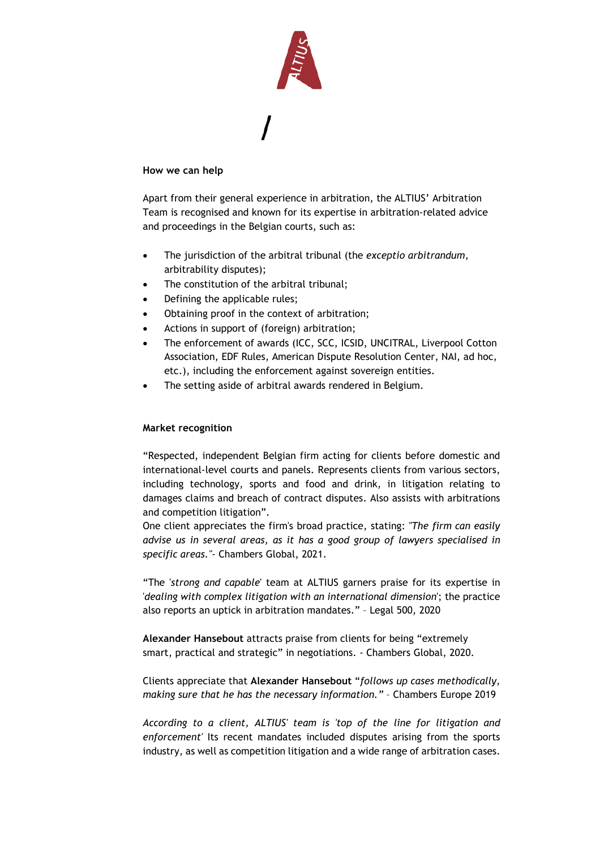

## **How we can help**

Apart from their general experience in arbitration, the ALTIUS' Arbitration Team is recognised and known for its expertise in arbitration-related advice and proceedings in the Belgian courts, such as:

- The jurisdiction of the arbitral tribunal (the *exceptio arbitrandum*, arbitrability disputes);
- The constitution of the arbitral tribunal;
- Defining the applicable rules;
- Obtaining proof in the context of arbitration;
- Actions in support of (foreign) arbitration;
- The enforcement of awards (ICC, SCC, ICSID, UNCITRAL, Liverpool Cotton Association, EDF Rules, American Dispute Resolution Center, NAI, ad hoc, etc.), including the enforcement against sovereign entities.
- The setting aside of arbitral awards rendered in Belgium.

## **Market recognition**

"Respected, independent Belgian firm acting for clients before domestic and international-level courts and panels. Represents clients from various sectors, including technology, sports and food and drink, in litigation relating to damages claims and breach of contract disputes. Also assists with arbitrations and competition litigation".

One client appreciates the firm's broad practice, stating: *"The firm can easily advise us in several areas, as it has a good group of lawyers specialised in specific areas."*- Chambers Global, 2021.

"The '*strong and capable*' team at ALTIUS garners praise for its expertise in '*dealing with complex litigation with an international dimension*'; the practice also reports an uptick in arbitration mandates." – Legal 500, 2020

**Alexander Hansebout** attracts praise from clients for being "extremely smart, practical and strategic" in negotiations. - Chambers Global, 2020.

Clients appreciate that **Alexander Hansebout** "*follows up cases methodically, making sure that he has the necessary information."* – Chambers Europe 2019

*According to a client, ALTIUS' team is 'top of the line for litigation and enforcement'* Its recent mandates included disputes arising from the sports industry, as well as competition litigation and a wide range of arbitration cases.